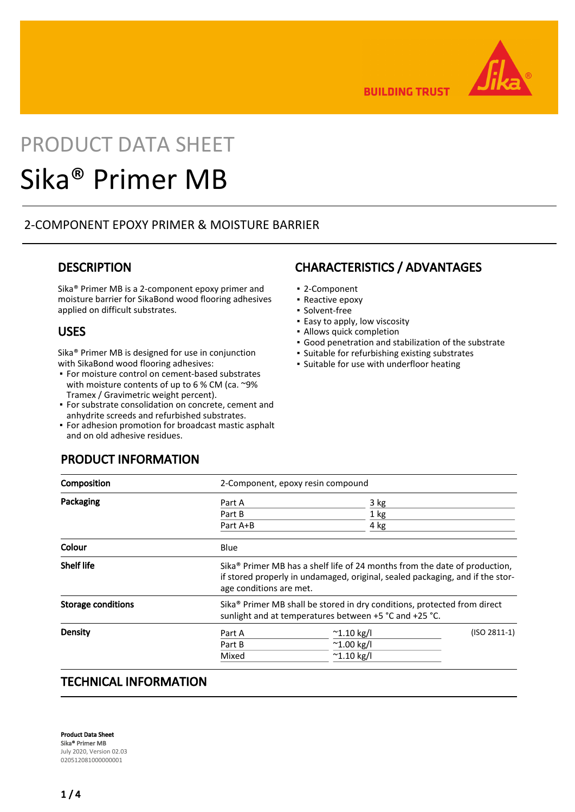

**BUILDING TRUST** 

# PRODUCT DATA SHEET Sika® Primer MB

## 2-COMPONENT EPOXY PRIMER & MOISTURE BARRIER

# **DESCRIPTION**

Sika® Primer MB is a 2-component epoxy primer and moisture barrier for SikaBond wood flooring adhesives applied on difficult substrates.

## USES

Sika® Primer MB is designed for use in conjunction with SikaBond wood flooring adhesives:

- For moisture control on cement-based substrates with moisture contents of up to 6 % CM (ca. ~9%) Tramex / Gravimetric weight percent).
- **For substrate consolidation on concrete, cement and** anhydrite screeds and refurbished substrates.
- For adhesion promotion for broadcast mastic asphalt and on old adhesive residues.

## PRODUCT INFORMATION

## CHARACTERISTICS / ADVANTAGES

- 2-Component
- Reactive epoxy
- Solvent-free
- **Easy to apply, low viscosity**
- **· Allows quick completion**
- Good penetration and stabilization of the substrate
- Suitable for refurbishing existing substrates
- Suitable for use with underfloor heating

|                                                                                                                                                                                                    | 2-Component, epoxy resin compound |                |  |
|----------------------------------------------------------------------------------------------------------------------------------------------------------------------------------------------------|-----------------------------------|----------------|--|
| Part A                                                                                                                                                                                             | 3 kg                              |                |  |
| Part B                                                                                                                                                                                             | 1 kg                              |                |  |
| Part A+B                                                                                                                                                                                           | 4 kg                              |                |  |
| Blue                                                                                                                                                                                               |                                   |                |  |
| Sika <sup>®</sup> Primer MB has a shelf life of 24 months from the date of production,<br>if stored properly in undamaged, original, sealed packaging, and if the stor-<br>age conditions are met. |                                   |                |  |
| Sika <sup>®</sup> Primer MB shall be stored in dry conditions, protected from direct<br>sunlight and at temperatures between +5 °C and +25 °C.                                                     |                                   |                |  |
| Part A                                                                                                                                                                                             | $^{\sim}$ 1.10 kg/l               | $(ISO 2811-1)$ |  |
| Part B                                                                                                                                                                                             | $^{\sim}$ 1.00 kg/l               |                |  |
| Mixed                                                                                                                                                                                              | $^{\sim}$ 1.10 kg/l               |                |  |
|                                                                                                                                                                                                    |                                   |                |  |

# TECHNICAL INFORMATION

Product Data Sheet Sika® Primer MB July 2020, Version 02.03 020512081000000001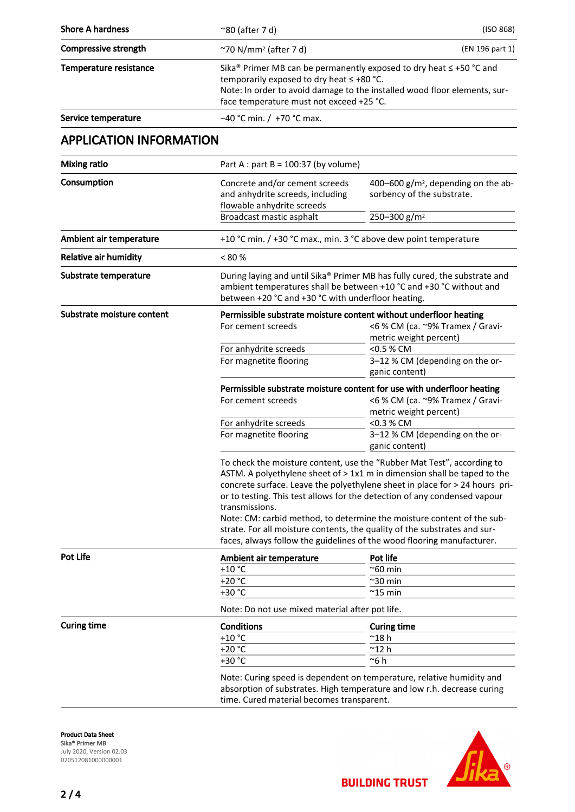| <b>Shore A hardness</b>        | $^{\sim}80$ (after 7 d)                                                                                                                                                                                                                                                                                                                                                                                                                                                                 | (ISO 868)                                                                                        |  |  |
|--------------------------------|-----------------------------------------------------------------------------------------------------------------------------------------------------------------------------------------------------------------------------------------------------------------------------------------------------------------------------------------------------------------------------------------------------------------------------------------------------------------------------------------|--------------------------------------------------------------------------------------------------|--|--|
| Compressive strength           | $\gamma$ 70 N/mm <sup>2</sup> (after 7 d)                                                                                                                                                                                                                                                                                                                                                                                                                                               | (EN 196 part 1)                                                                                  |  |  |
| Temperature resistance         | Sika <sup>®</sup> Primer MB can be permanently exposed to dry heat $\leq$ +50 °C and<br>temporarily exposed to dry heat ≤ +80 °C.<br>Note: In order to avoid damage to the installed wood floor elements, sur-<br>face temperature must not exceed +25 °C.                                                                                                                                                                                                                              |                                                                                                  |  |  |
| Service temperature            | $-40$ °C min. / +70 °C max.                                                                                                                                                                                                                                                                                                                                                                                                                                                             |                                                                                                  |  |  |
| <b>APPLICATION INFORMATION</b> |                                                                                                                                                                                                                                                                                                                                                                                                                                                                                         |                                                                                                  |  |  |
| <b>Mixing ratio</b>            | Part A : part B = $100:37$ (by volume)                                                                                                                                                                                                                                                                                                                                                                                                                                                  |                                                                                                  |  |  |
| Consumption                    | Concrete and/or cement screeds<br>and anhydrite screeds, including<br>flowable anhydrite screeds                                                                                                                                                                                                                                                                                                                                                                                        | 400-600 $g/m^2$ , depending on the ab-<br>sorbency of the substrate.<br>250-300 g/m <sup>2</sup> |  |  |
|                                | Broadcast mastic asphalt                                                                                                                                                                                                                                                                                                                                                                                                                                                                |                                                                                                  |  |  |
| Ambient air temperature        | +10 °C min. / +30 °C max., min. 3 °C above dew point temperature                                                                                                                                                                                                                                                                                                                                                                                                                        |                                                                                                  |  |  |
| <b>Relative air humidity</b>   | < 80 %                                                                                                                                                                                                                                                                                                                                                                                                                                                                                  |                                                                                                  |  |  |
| Substrate temperature          | During laying and until Sika® Primer MB has fully cured, the substrate and<br>ambient temperatures shall be between +10 °C and +30 °C without and<br>between +20 °C and +30 °C with underfloor heating.                                                                                                                                                                                                                                                                                 |                                                                                                  |  |  |
| Substrate moisture content     | Permissible substrate moisture content without underfloor heating<br>For cement screeds                                                                                                                                                                                                                                                                                                                                                                                                 | <6 % CM (ca. ~9% Tramex / Gravi-<br>metric weight percent)                                       |  |  |
|                                | For anhydrite screeds                                                                                                                                                                                                                                                                                                                                                                                                                                                                   | <0.5 % CM                                                                                        |  |  |
|                                | For magnetite flooring                                                                                                                                                                                                                                                                                                                                                                                                                                                                  | 3-12 % CM (depending on the or-<br>ganic content)                                                |  |  |
|                                | Permissible substrate moisture content for use with underfloor heating<br><6 % CM (ca. ~9% Tramex / Gravi-<br>For cement screeds<br>metric weight percent)                                                                                                                                                                                                                                                                                                                              |                                                                                                  |  |  |
|                                | For anhydrite screeds                                                                                                                                                                                                                                                                                                                                                                                                                                                                   | <0.3 % CM                                                                                        |  |  |
|                                | For magnetite flooring                                                                                                                                                                                                                                                                                                                                                                                                                                                                  | 3-12 % CM (depending on the or-<br>ganic content)                                                |  |  |
|                                | To check the moisture content, use the "Rubber Mat Test", according to<br>ASTM. A polyethylene sheet of > 1x1 m in dimension shall be taped to the<br>concrete surface. Leave the polyethylene sheet in place for > 24 hours pri-<br>or to testing. This test allows for the detection of any condensed vapour<br>transmissions.<br>Note: CM: carbid method, to determine the moisture content of the sub-<br>strate. For all moisture contents, the quality of the substrates and sur- |                                                                                                  |  |  |
|                                |                                                                                                                                                                                                                                                                                                                                                                                                                                                                                         | faces, always follow the guidelines of the wood flooring manufacturer.                           |  |  |
| <b>Pot Life</b>                | Ambient air temperature                                                                                                                                                                                                                                                                                                                                                                                                                                                                 | Pot life                                                                                         |  |  |
|                                | $+10$ °C<br>$+20 °C$                                                                                                                                                                                                                                                                                                                                                                                                                                                                    | $^{\sim}$ 60 min                                                                                 |  |  |
|                                | +30 °C                                                                                                                                                                                                                                                                                                                                                                                                                                                                                  | $^{\sim}$ 30 min<br>$^{\sim}$ 15 min                                                             |  |  |
|                                | Note: Do not use mixed material after pot life.                                                                                                                                                                                                                                                                                                                                                                                                                                         |                                                                                                  |  |  |
| <b>Curing time</b>             | <b>Conditions</b>                                                                                                                                                                                                                                                                                                                                                                                                                                                                       | <b>Curing time</b>                                                                               |  |  |
|                                | $+10$ °C                                                                                                                                                                                                                                                                                                                                                                                                                                                                                | $^{\sim}$ 18 h                                                                                   |  |  |
|                                | $+20 °C$                                                                                                                                                                                                                                                                                                                                                                                                                                                                                | $^{\sim}$ 12 h                                                                                   |  |  |
|                                | +30 °C                                                                                                                                                                                                                                                                                                                                                                                                                                                                                  | ~6 h                                                                                             |  |  |
|                                | Note: Curing speed is dependent on temperature, relative humidity and<br>absorption of substrates. High temperature and low r.h. decrease curing<br>time. Cured material becomes transparent.                                                                                                                                                                                                                                                                                           |                                                                                                  |  |  |

Product Data Sheet Sika® Primer MB July 2020, Version 02.03 020512081000000001

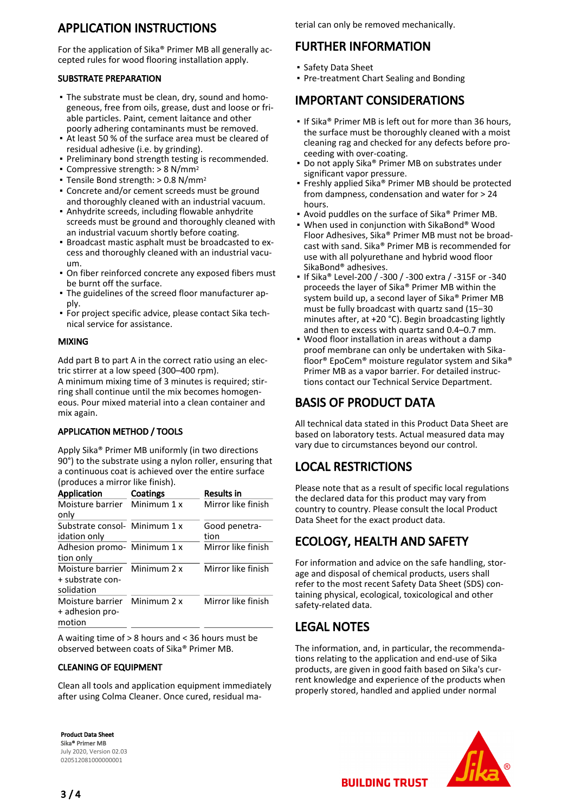# APPLICATION INSTRUCTIONS

For the application of Sika® Primer MB all generally accepted rules for wood flooring installation apply.

#### SUBSTRATE PREPARATION

- The substrate must be clean, dry, sound and homo-▪ geneous, free from oils, grease, dust and loose or friable particles. Paint, cement laitance and other poorly adhering contaminants must be removed.
- At least 50 % of the surface area must be cleared of residual adhesive (i.e. by grinding).
- Preliminary bond strength testing is recommended.
- Compressive strength:  $> 8$  N/mm<sup>2</sup>
- $\blacksquare$  Tensile Bond strength:  $> 0.8$  N/mm<sup>2</sup>
- Concrete and/or cement screeds must be ground and thoroughly cleaned with an industrial vacuum.
- Anhydrite screeds, including flowable anhydrite screeds must be ground and thoroughly cleaned with an industrial vacuum shortly before coating.
- **Broadcast mastic asphalt must be broadcasted to ex**cess and thoroughly cleaned with an industrial vacuum.
- On fiber reinforced concrete any exposed fibers must be burnt off the surface.
- The guidelines of the screed floor manufacturer ap-▪ ply.
- **For project specific advice, please contact Sika tech**nical service for assistance.

#### MIXING

Add part B to part A in the correct ratio using an electric stirrer at a low speed (300–400 rpm).

A minimum mixing time of 3 minutes is required; stirring shall continue until the mix becomes homogeneous. Pour mixed material into a clean container and mix again.

#### APPLICATION METHOD / TOOLS

Apply Sika® Primer MB uniformly (in two directions 90°) to the substrate using a nylon roller, ensuring that a continuous coat is achieved over the entire surface (produces a mirror like finish).

| <b>Application</b>            | Coatings    | <b>Results in</b>  |
|-------------------------------|-------------|--------------------|
| Moisture barrier              | Minimum 1 x | Mirror like finish |
| only                          |             |                    |
| Substrate consol- Minimum 1 x |             | Good penetra-      |
| idation only                  |             | tion               |
| Adhesion promo- Minimum 1 x   |             | Mirror like finish |
| tion only                     |             |                    |
| Moisture barrier              | Minimum 2 x | Mirror like finish |
| + substrate con-              |             |                    |
| solidation                    |             |                    |
| Moisture barrier              | Minimum 2 x | Mirror like finish |
| + adhesion pro-               |             |                    |
| motion                        |             |                    |

A waiting time of > 8 hours and < 36 hours must be observed between coats of Sika® Primer MB.

#### CLEANING OF EQUIPMENT

Clean all tools and application equipment immediately after using Colma Cleaner. Once cured, residual ma-

Product Data Sheet Sika® Primer MB July 2020, Version 02.03 020512081000000001

terial can only be removed mechanically.

# FURTHER INFORMATION

- Safety Data Sheet
- Pre-treatment Chart Sealing and Bonding

## IMPORTANT CONSIDERATIONS

- If Sika® Primer MB is left out for more than 36 hours, the surface must be thoroughly cleaned with a moist cleaning rag and checked for any defects before proceeding with over-coating.
- Do not apply Sika® Primer MB on substrates under significant vapor pressure. ▪
- Freshly applied Sika® Primer MB should be protected from dampness, condensation and water for > 24 hours. ▪
- Avoid puddles on the surface of Sika® Primer MB.
- When used in conjunction with SikaBond® Wood Floor Adhesives, Sika® Primer MB must not be broadcast with sand. Sika® Primer MB is recommended for use with all polyurethane and hybrid wood floor SikaBond® adhesives.
- If Sika® Level-200 / -300 / -300 extra / -315F or -340 proceeds the layer of Sika® Primer MB within the system build up, a second layer of Sika® Primer MB must be fully broadcast with quartz sand (15−30 minutes after, at +20 °C). Begin broadcasting lightly and then to excess with quartz sand 0.4–0.7 mm.
- Wood floor installation in areas without a damp proof membrane can only be undertaken with Sikafloor® EpoCem® moisture regulator system and Sika® Primer MB as a vapor barrier. For detailed instructions contact our Technical Service Department.

# BASIS OF PRODUCT DATA

All technical data stated in this Product Data Sheet are based on laboratory tests. Actual measured data may vary due to circumstances beyond our control.

# LOCAL RESTRICTIONS

Please note that as a result of specific local regulations the declared data for this product may vary from country to country. Please consult the local Product Data Sheet for the exact product data.

# ECOLOGY, HEALTH AND SAFETY

For information and advice on the safe handling, storage and disposal of chemical products, users shall refer to the most recent Safety Data Sheet (SDS) containing physical, ecological, toxicological and other safety-related data.

# LEGAL NOTES

The information, and, in particular, the recommendations relating to the application and end-use of Sika products, are given in good faith based on Sika's current knowledge and experience of the products when properly stored, handled and applied under normal



**BUILDING TRUST**